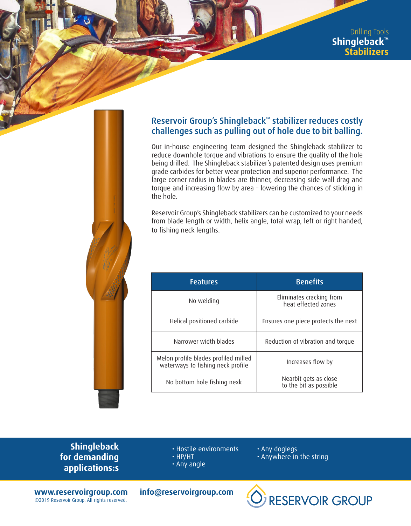

## Reservoir Group's Shingleback™ stabilizer reduces costly challenges such as pulling out of hole due to bit balling.

Our in-house engineering team designed the Shingleback stabilizer to reduce downhole torque and vibrations to ensure the quality of the hole being drilled. The Shingleback stabilizer's patented design uses premium grade carbides for better wear protection and superior performance. The large corner radius in blades are thinner, decreasing side wall drag and torque and increasing flow by area – lowering the chances of sticking in the hole.

Reservoir Group's Shingleback stabilizers can be customized to your needs from blade length or width, helix angle, total wrap, left or right handed, to fishing neck lengths.

| <b>Features</b>                                                           | <b>Benefits</b>                                 |  |  |  |  |
|---------------------------------------------------------------------------|-------------------------------------------------|--|--|--|--|
| No welding                                                                | Eliminates cracking from<br>heat effected zones |  |  |  |  |
| Helical positioned carbide                                                | Ensures one piece protects the next             |  |  |  |  |
| Narrower width blades                                                     | Reduction of vibration and torque               |  |  |  |  |
| Melon profile blades profiled milled<br>waterways to fishing neck profile | Increases flow by                               |  |  |  |  |
| No bottom hole fishing nexk                                               | Nearbit gets as close<br>to the bit as possible |  |  |  |  |

**Shingleback for demanding applications:s**

- Hostile environments
- HP/HT
- Any angle
- Any doglegs
- Anywhere in the string

**www.reservoirgroup.com info@reservoirgroup.com** ©2019 Reservoir Group. All rights reserved.